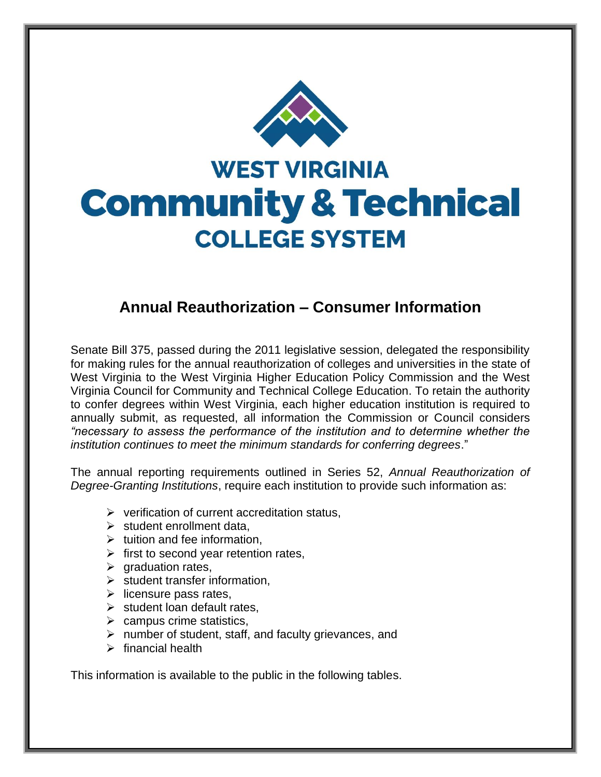

## **Annual Reauthorization – Consumer Information**

Senate Bill 375, passed during the 2011 legislative session, delegated the responsibility for making rules for the annual reauthorization of colleges and universities in the state of West Virginia to the West Virginia Higher Education Policy Commission and the West Virginia Council for Community and Technical College Education. To retain the authority to confer degrees within West Virginia, each higher education institution is required to annually submit, as requested, all information the Commission or Council considers *"necessary to assess the performance of the institution and to determine whether the institution continues to meet the minimum standards for conferring degrees*."

The annual reporting requirements outlined in Series 52, *Annual Reauthorization of Degree-Granting Institutions*, require each institution to provide such information as:

- ➢ verification of current accreditation status,
- $\triangleright$  student enrollment data.
- $\triangleright$  tuition and fee information,
- $\triangleright$  first to second year retention rates,
- $\triangleright$  graduation rates,
- $\triangleright$  student transfer information,
- $\triangleright$  licensure pass rates,
- $\triangleright$  student loan default rates,
- $\triangleright$  campus crime statistics,
- ➢ number of student, staff, and faculty grievances, and
- $\triangleright$  financial health

This information is available to the public in the following tables.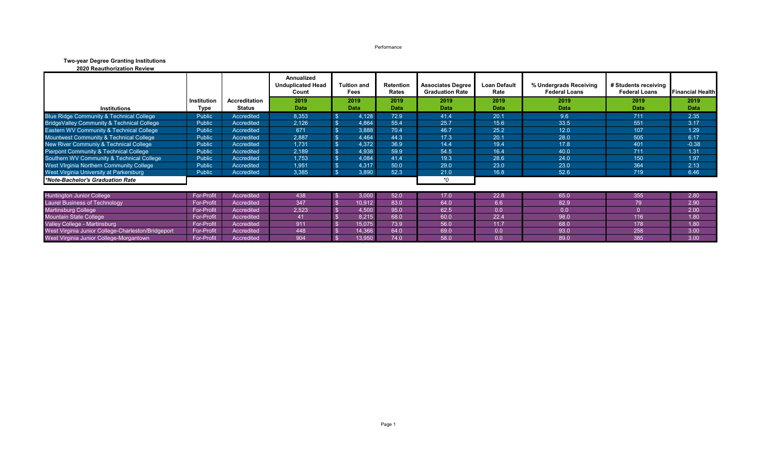Performance

## **Two-year Degree Granting Institutions**

| <b>2020 Reauthorization Review</b> |  |
|------------------------------------|--|
|------------------------------------|--|

|                                                    |             |               | Annualized<br><b>Unduplicated Head</b><br><b>Tuition and</b><br>Count<br>Fees |               | Retention<br>Rates | <b>Associates Degree</b><br><b>Graduation Rate</b> | Loan Default<br>Rate | % Undergrads Receiving<br><b>Federal Loans</b> | # Students receiving<br><b>Federal Loans</b> | <b>Financial Health</b> |
|----------------------------------------------------|-------------|---------------|-------------------------------------------------------------------------------|---------------|--------------------|----------------------------------------------------|----------------------|------------------------------------------------|----------------------------------------------|-------------------------|
|                                                    | Institution | Accreditation | 2019                                                                          | 2019          | 2019               | 2019                                               | 2019                 | 2019                                           | 2019                                         | 2019                    |
| <b>Institutions</b>                                | Type        | <b>Status</b> | Data                                                                          | <b>Data</b>   | <b>Data</b>        | Data                                               | <b>Data</b>          | Data                                           | <b>Data</b>                                  | <b>Data</b>             |
| Blue Ridge Community & Technical College           | Public      | Accredited    | 8,353                                                                         | 4,128         | 72.9               | 41.4                                               | 20.1                 | 9.6                                            | 711                                          | 2.35                    |
| BridgeValley Community & Technical College         | Public      | Accredited    | 2,126                                                                         | 4,864         | 55.4               | 25.7                                               | 15.6                 | 33.5                                           | 551                                          | 3.17                    |
| Eastern WV Community & Technical College           | Public      | Accredited    | 671                                                                           | 3,888         | 70.4               | 46.7                                               | 25.2                 | 12.0                                           | 107                                          | 1.29                    |
| Mountwest Community & Technical College            | Public      | Accredited    | 2,887                                                                         | 4,464         | 44.3               | 17.3                                               | 20.1                 | 28.0                                           | 505                                          | 6.17                    |
| New River Communiy & Technical College             | Public      | Accredited    | 1.731                                                                         | 4,372         | 36.9               | 14.4                                               | 19.4                 | 17.8                                           | 401                                          | $-0.38$                 |
| <b>Pierpont Community &amp; Technical College</b>  | Public      | Accredited    | 2,189                                                                         | 4,938         | 59.9               | 54.5                                               | 16.4                 | 40.0                                           | 711                                          | 1.31                    |
| Southern WV Community & Technical College          | Public      | Accredited    | 1,753                                                                         | 4,084         | 41.4               | 19.3                                               | 28.6                 | 24.0                                           | 150                                          | 1.97                    |
| West VIrginia Northern Community College           | Public      | Accredited    | 1,951                                                                         | 4,317         | 50.0               | 29.0                                               | 23.0                 | 23.0                                           | 364                                          | 2.13                    |
| West Virginia University at Parkersburg            | Public      | Accredited    | 3,385                                                                         | 3,890         | 52.3               | 21.0                                               | 16.8                 | 52.6                                           | 719                                          | 6.46                    |
| *Note-Bachelor's Graduation Rate                   |             |               |                                                                               |               |                    | *0                                                 |                      |                                                |                                              |                         |
| <b>Huntington Junior College</b>                   | For-Profit  | Accredited    | 438                                                                           | 3,000<br>- \$ | 52.0               | 17.0                                               | 22.8                 | 65.0                                           | 355                                          | 2.80                    |
| <b>Laurel Business of Technology</b>               | For-Profit  | Accredited    | 347                                                                           | 10,912        | 83.0               | 64.0                                               | 6.6                  | 82.9                                           | 79                                           | 2.90                    |
| <b>Martinsburg College</b>                         | For-Profit  | Accredited    | 2,523                                                                         | 4,500         | 95.0               | 62.5                                               | 0.0                  | 0.0                                            | $\cap$                                       | 2.00                    |
| <b>Mountain State College</b>                      | For-Profit  | Accredited    | 41                                                                            | 8,215         | 68.0               | 60.0                                               | 22.4                 | 98.0                                           | 116                                          | 1.80                    |
| Valley College - Martinsburg                       | For-Profit  | Accredited    | 911                                                                           | 15,075        | 73.9               | 56.0                                               | 11.7                 | 68.0                                           | 178                                          | 1.80                    |
| West Virginia Junior College-Charleston/Bridgeport | For-Profit  | Accredited    | 448                                                                           | 14,366        | 64.0               | 69.0                                               | 0.0                  | 93.0                                           | 258                                          | 3.00                    |
| West Virginia Junior College-Morgantown            | For-Profit  | Accredited    | 904                                                                           | 13,950        | 74.0               | 58.0                                               | 0.0                  | 89.0                                           | 385                                          | 3.00                    |